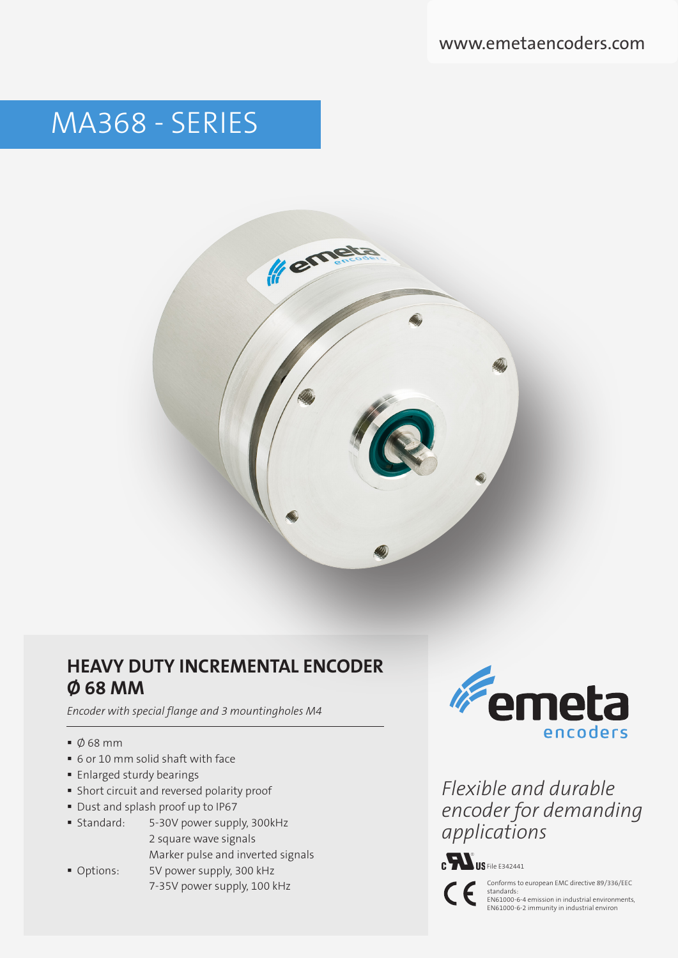# MA368 - SERIES



## **HEAVY DUTY INCREMENTAL ENCODER Ø 68 MM**

*Encoder with special flange and 3 mountingholes M4* 

- $\bullet$   $\emptyset$  68 mm
- 6 or 10 mm solid shaft with face
- **Enlarged sturdy bearings**
- Short circuit and reversed polarity proof
- Dust and splash proof up to IP67
- Standard: 5-30V power supply, 300kHz 2 square wave signals Marker pulse and inverted signals
- Options: 5V power supply, 300 kHz 7-35V power supply, 100 kHz

**Emeta** encoders

*Flexible and durable encoder for demanding applications*



Conforms to european EMC directive 89/336/EEC standards: EN61000-6-4 emission in industrial environments, EN61000-6-2 immunity in industrial environ